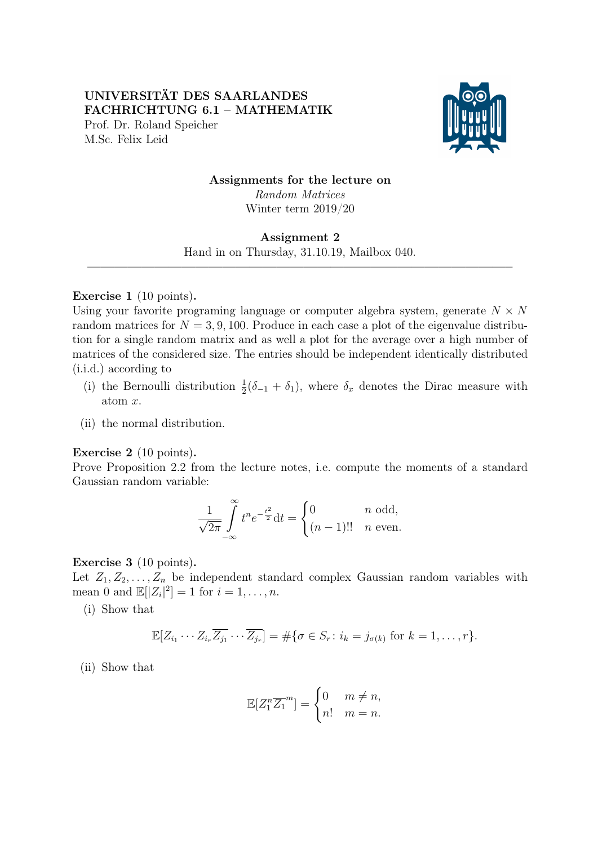# UNIVERSITÄT DES SAARLANDES FACHRICHTUNG 6.1 – MATHEMATIK Prof. Dr. Roland Speicher M.Sc. Felix Leid



Assignments for the lecture on

Random Matrices Winter term 2019/20

## Assignment 2

Hand in on Thursday, 31.10.19, Mailbox 040.  $\frac{1}{\sqrt{2}}$  , and the contribution of  $\frac{1}{\sqrt{2}}$  , and  $\frac{1}{\sqrt{2}}$  , and  $\frac{1}{\sqrt{2}}$  , and  $\frac{1}{\sqrt{2}}$  , and  $\frac{1}{\sqrt{2}}$  , and  $\frac{1}{\sqrt{2}}$  , and  $\frac{1}{\sqrt{2}}$  , and  $\frac{1}{\sqrt{2}}$  , and  $\frac{1}{\sqrt{2}}$  , and  $\frac{1}{\sqrt{2}}$ 

## Exercise 1 (10 points).

Using your favorite programing language or computer algebra system, generate  $N \times N$ random matrices for  $N = 3, 9, 100$ . Produce in each case a plot of the eigenvalue distribution for a single random matrix and as well a plot for the average over a high number of matrices of the considered size. The entries should be independent identically distributed (i.i.d.) according to

- (i) the Bernoulli distribution  $\frac{1}{2}(\delta_{-1} + \delta_1)$ , where  $\delta_x$  denotes the Dirac measure with atom x.
- (ii) the normal distribution.

### Exercise 2 (10 points).

Prove Proposition 2.2 from the lecture notes, i.e. compute the moments of a standard Gaussian random variable:

$$
\frac{1}{\sqrt{2\pi}}\int_{-\infty}^{\infty}t^n e^{-\frac{t^2}{2}}dt = \begin{cases} 0 & n \text{ odd,} \\ (n-1)!! & n \text{ even.} \end{cases}
$$

### Exercise 3 (10 points).

Let  $Z_1, Z_2, \ldots, Z_n$  be independent standard complex Gaussian random variables with mean 0 and  $\mathbb{E}[|Z_i|^2] = 1$  for  $i = 1, \ldots, n$ .

(i) Show that

$$
\mathbb{E}[Z_{i_1}\cdots Z_{i_r}\overline{Z_{j_1}}\cdots \overline{Z_{j_r}}] = \#\{\sigma \in S_r \colon i_k = j_{\sigma(k)} \text{ for } k = 1,\ldots,r\}.
$$

(ii) Show that

$$
\mathbb{E}[Z_1^n \overline{Z_1}^m] = \begin{cases} 0 & m \neq n, \\ n! & m = n. \end{cases}
$$